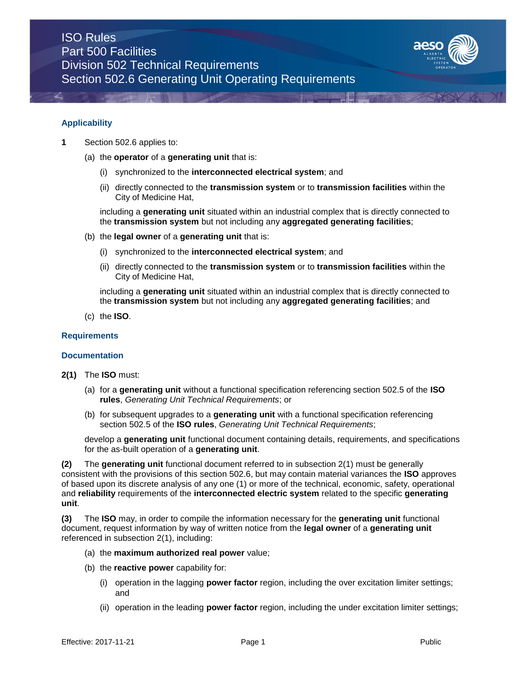

### **Applicability**

- **1** Section 502.6 applies to:
	- (a) the **operator** of a **generating unit** that is:
		- (i) synchronized to the **interconnected electrical system**; and
		- (ii) directly connected to the **transmission system** or to **transmission facilities** within the City of Medicine Hat,

including a **generating unit** situated within an industrial complex that is directly connected to the **transmission system** but not including any **aggregated generating facilities**;

- (b) the **legal owner** of a **generating unit** that is:
	- (i) synchronized to the **interconnected electrical system**; and
	- (ii) directly connected to the **transmission system** or to **transmission facilities** within the City of Medicine Hat,

including a **generating unit** situated within an industrial complex that is directly connected to the **transmission system** but not including any **aggregated generating facilities**; and

(c) the **ISO**.

### **Requirements**

#### **Documentation**

- **2(1)** The **ISO** must:
	- (a) for a **generating unit** without a functional specification referencing section 502.5 of the **ISO rules**, *Generating Unit Technical Requirements*; or
	- (b) for subsequent upgrades to a **generating unit** with a functional specification referencing section 502.5 of the **ISO rules**, *Generating Unit Technical Requirements*;

develop a **generating unit** functional document containing details, requirements, and specifications for the as-built operation of a **generating unit**.

**(2)** The **generating unit** functional document referred to in subsection 2(1) must be generally consistent with the provisions of this section 502.6, but may contain material variances the **ISO** approves of based upon its discrete analysis of any one (1) or more of the technical, economic, safety, operational and **reliability** requirements of the **interconnected electric system** related to the specific **generating unit**.

**(3)** The **ISO** may, in order to compile the information necessary for the **generating unit** functional document, request information by way of written notice from the **legal owner** of a **generating unit**  referenced in subsection 2(1), including:

- (a) the **maximum authorized real power** value;
- (b) the **reactive power** capability for:
	- (i) operation in the lagging **power factor** region, including the over excitation limiter settings; and
	- (ii) operation in the leading **power factor** region, including the under excitation limiter settings;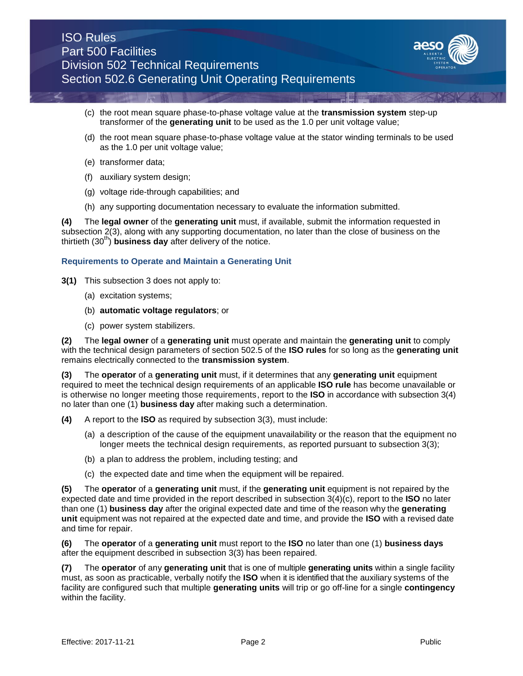

- (c) the root mean square phase-to-phase voltage value at the **transmission system** step-up transformer of the **generating unit** to be used as the 1.0 per unit voltage value;
- (d) the root mean square phase-to-phase voltage value at the stator winding terminals to be used as the 1.0 per unit voltage value;
- (e) transformer data;
- (f) auxiliary system design;
- (g) voltage ride-through capabilities; and
- (h) any supporting documentation necessary to evaluate the information submitted.

**(4)** The **legal owner** of the **generating unit** must, if available, submit the information requested in subsection 2(3), along with any supporting documentation, no later than the close of business on the thirtieth  $(30<sup>th</sup>)$  **business day** after delivery of the notice.

## **Requirements to Operate and Maintain a Generating Unit**

- **3(1)** This subsection 3 does not apply to:
	- (a) excitation systems;
	- (b) **automatic voltage regulators**; or
	- (c) power system stabilizers.

**(2)** The **legal owner** of a **generating unit** must operate and maintain the **generating unit** to comply with the technical design parameters of section 502.5 of the **ISO rules** for so long as the **generating unit**  remains electrically connected to the **transmission system**.

**(3)** The **operator** of a **generating unit** must, if it determines that any **generating unit** equipment required to meet the technical design requirements of an applicable **ISO rule** has become unavailable or is otherwise no longer meeting those requirements, report to the **ISO** in accordance with subsection 3(4) no later than one (1) **business day** after making such a determination.

**(4)** A report to the **ISO** as required by subsection 3(3), must include:

- (a) a description of the cause of the equipment unavailability or the reason that the equipment no longer meets the technical design requirements, as reported pursuant to subsection 3(3);
- (b) a plan to address the problem, including testing; and
- (c) the expected date and time when the equipment will be repaired.

**(5)** The **operator** of a **generating unit** must, if the **generating unit** equipment is not repaired by the expected date and time provided in the report described in subsection 3(4)(c), report to the **ISO** no later than one (1) **business day** after the original expected date and time of the reason why the **generating unit** equipment was not repaired at the expected date and time, and provide the **ISO** with a revised date and time for repair.

**(6)** The **operator** of a **generating unit** must report to the **ISO** no later than one (1) **business days** after the equipment described in subsection 3(3) has been repaired.

**(7)** The **operator** of any **generating unit** that is one of multiple **generating units** within a single facility must, as soon as practicable, verbally notify the **ISO** when it is identified that the auxiliary systems of the facility are configured such that multiple **generating units** will trip or go off-line for a single **contingency** within the facility.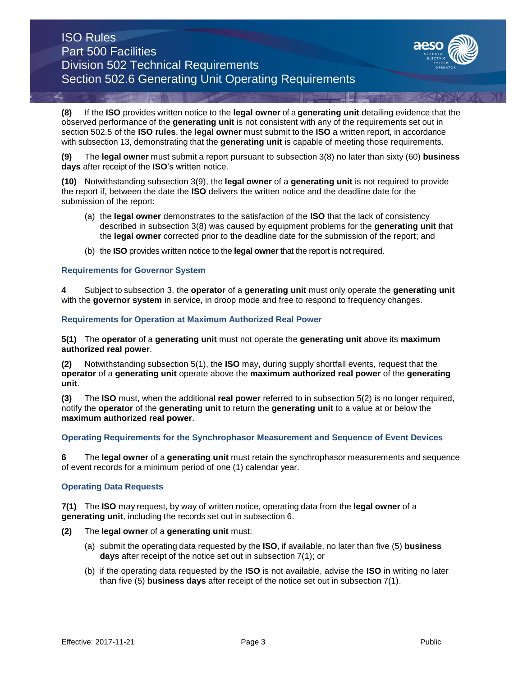# ISO Rules Part 500 Facilities Division 502 Technical Requirements Section 502.6 Generating Unit Operating Requirements



**(8)** If the **ISO** provides written notice to the **legal owner** of a **generating unit** detailing evidence that the observed performance of the **generating unit** is not consistent with any of the requirements set out in section 502.5 of the **ISO rules**, the **legal owner** must submit to the **ISO** a written report, in accordance with subsection 13, demonstrating that the **generating unit** is capable of meeting those requirements.

**(9)** The **legal owner** must submit a report pursuant to subsection 3(8) no later than sixty (60) **business days** after receipt of the **ISO**'s written notice.

**(10)** Notwithstanding subsection 3(9), the **legal owner** of a **generating unit** is not required to provide the report if, between the date the **ISO** delivers the written notice and the deadline date for the submission of the report:

- (a) the **legal owner** demonstrates to the satisfaction of the **ISO** that the lack of consistency described in subsection 3(8) was caused by equipment problems for the **generating unit** that the **legal owner** corrected prior to the deadline date for the submission of the report; and
- (b) the **ISO** provides written notice to the **legal owner** that the report is not required.

# **Requirements for Governor System**

**4** Subject to subsection 3, the **operator** of a **generating unit** must only operate the **generating unit**  with the **governor system** in service, in droop mode and free to respond to frequency changes.

# **Requirements for Operation at Maximum Authorized Real Power**

**5(1)** The **operator** of a **generating unit** must not operate the **generating unit** above its **maximum authorized real power**.

**(2)** Notwithstanding subsection 5(1), the **ISO** may, during supply shortfall events, request that the **operator** of a **generating unit** operate above the **maximum authorized real power** of the **generating unit**.

**(3)** The **ISO** must, when the additional **real power** referred to in subsection 5(2) is no longer required, notify the **operator** of the **generating unit** to return the **generating unit** to a value at or below the **maximum authorized real power**.

# **Operating Requirements for the Synchrophasor Measurement and Sequence of Event Devices**

**6** The **legal owner** of a **generating unit** must retain the synchrophasor measurements and sequence of event records for a minimum period of one (1) calendar year.

# **Operating Data Requests**

**7(1)** The **ISO** may request, by way of written notice, operating data from the **legal owner** of a **generating unit**, including the records set out in subsection 6.

- **(2)** The **legal owner** of a **generating unit** must:
	- (a) submit the operating data requested by the **ISO**, if available, no later than five (5) **business days** after receipt of the notice set out in subsection 7(1); or
	- (b) if the operating data requested by the **ISO** is not available, advise the **ISO** in writing no later than five (5) **business days** after receipt of the notice set out in subsection 7(1).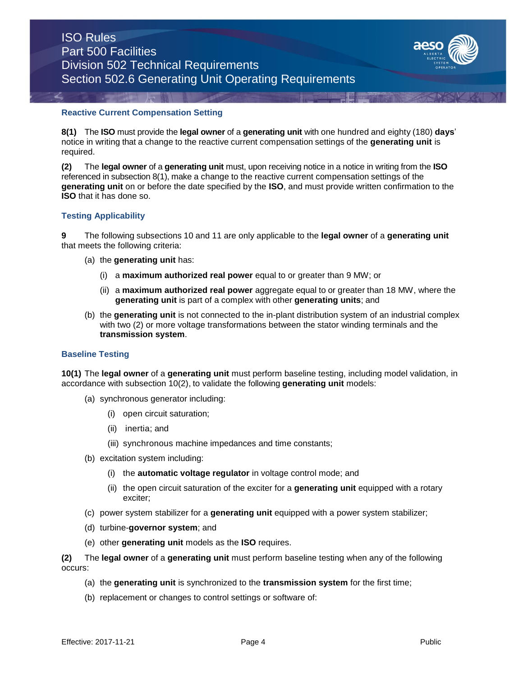

## **Reactive Current Compensation Setting**

**8(1)** The **ISO** must provide the **legal owner** of a **generating unit** with one hundred and eighty (180) **days**' notice in writing that a change to the reactive current compensation settings of the **generating unit** is required.

**(2)** The **legal owner** of a **generating unit** must, upon receiving notice in a notice in writing from the **ISO** referenced in subsection 8(1), make a change to the reactive current compensation settings of the **generating unit** on or before the date specified by the **ISO**, and must provide written confirmation to the **ISO** that it has done so.

# **Testing Applicability**

**9** The following subsections 10 and 11 are only applicable to the **legal owner** of a **generating unit**  that meets the following criteria:

- (a) the **generating unit** has:
	- (i) a **maximum authorized real power** equal to or greater than 9 MW; or
	- (ii) a **maximum authorized real power** aggregate equal to or greater than 18 MW, where the **generating unit** is part of a complex with other **generating units**; and
- (b) the **generating unit** is not connected to the in-plant distribution system of an industrial complex with two (2) or more voltage transformations between the stator winding terminals and the **transmission system**.

#### **Baseline Testing**

**10(1)** The **legal owner** of a **generating unit** must perform baseline testing, including model validation, in accordance with subsection 10(2), to validate the following **generating unit** models:

- (a) synchronous generator including:
	- (i) open circuit saturation;
	- (ii) inertia; and
	- (iii) synchronous machine impedances and time constants;
- (b) excitation system including:
	- (i) the **automatic voltage regulator** in voltage control mode; and
	- (ii) the open circuit saturation of the exciter for a **generating unit** equipped with a rotary exciter;
- (c) power system stabilizer for a **generating unit** equipped with a power system stabilizer;
- (d) turbine-**governor system**; and
- (e) other **generating unit** models as the **ISO** requires.

**(2)** The **legal owner** of a **generating unit** must perform baseline testing when any of the following occurs:

- (a) the **generating unit** is synchronized to the **transmission system** for the first time;
- (b) replacement or changes to control settings or software of: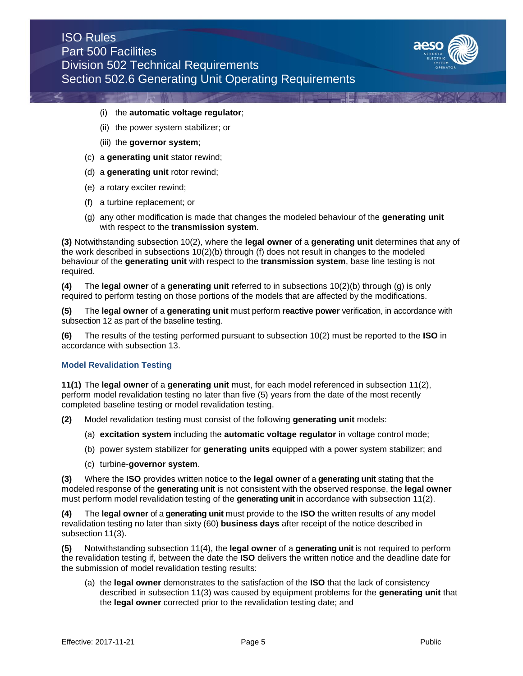

### (i) the **automatic voltage regulator**;

- (ii) the power system stabilizer; or
- (iii) the **governor system**;
- (c) a **generating unit** stator rewind;
- (d) a **generating unit** rotor rewind;
- (e) a rotary exciter rewind;
- (f) a turbine replacement; or
- (g) any other modification is made that changes the modeled behaviour of the **generating unit**  with respect to the **transmission system**.

**(3)** Notwithstanding subsection 10(2), where the **legal owner** of a **generating unit** determines that any of the work described in subsections 10(2)(b) through (f) does not result in changes to the modeled behaviour of the **generating unit** with respect to the **transmission system**, base line testing is not required.

**(4)** The **legal owner** of a **generating unit** referred to in subsections 10(2)(b) through (g) is only required to perform testing on those portions of the models that are affected by the modifications.

**(5)** The **legal owner** of a **generating unit** must perform **reactive power** verification, in accordance with subsection 12 as part of the baseline testing.

**(6)** The results of the testing performed pursuant to subsection 10(2) must be reported to the **ISO** in accordance with subsection 13.

## **Model Revalidation Testing**

**11(1)** The **legal owner** of a **generating unit** must, for each model referenced in subsection 11(2), perform model revalidation testing no later than five (5) years from the date of the most recently completed baseline testing or model revalidation testing.

**(2)** Model revalidation testing must consist of the following **generating unit** models:

- (a) **excitation system** including the **automatic voltage regulator** in voltage control mode;
- (b) power system stabilizer for **generating units** equipped with a power system stabilizer; and
- (c) turbine-**governor system**.

**(3)** Where the **ISO** provides written notice to the **legal owner** of a **generating unit** stating that the modeled response of the **generating unit** is not consistent with the observed response, the **legal owner** must perform model revalidation testing of the **generating unit** in accordance with subsection 11(2).

**(4)** The **legal owner** of a **generating unit** must provide to the **ISO** the written results of any model revalidation testing no later than sixty (60) **business days** after receipt of the notice described in subsection 11(3).

**(5)** Notwithstanding subsection 11(4), the **legal owner** of a **generating unit** is not required to perform the revalidation testing if, between the date the **ISO** delivers the written notice and the deadline date for the submission of model revalidation testing results:

(a) the **legal owner** demonstrates to the satisfaction of the **ISO** that the lack of consistency described in subsection 11(3) was caused by equipment problems for the **generating unit** that the **legal owner** corrected prior to the revalidation testing date; and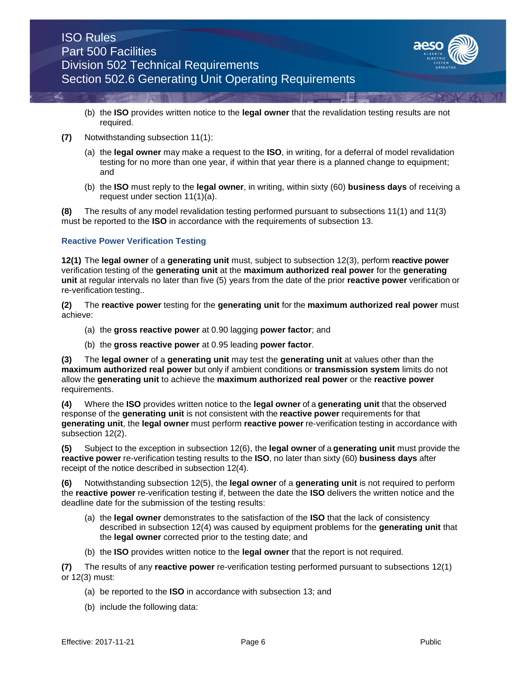

- (b) the **ISO** provides written notice to the **legal owner** that the revalidation testing results are not required.
- **(7)** Notwithstanding subsection 11(1):
	- (a) the **legal owner** may make a request to the **ISO**, in writing, for a deferral of model revalidation testing for no more than one year, if within that year there is a planned change to equipment; and
	- (b) the **ISO** must reply to the **legal owner**, in writing, within sixty (60) **business days** of receiving a request under section 11(1)(a).

**(8)** The results of any model revalidation testing performed pursuant to subsections 11(1) and 11(3) must be reported to the **ISO** in accordance with the requirements of subsection 13.

# **Reactive Power Verification Testing**

**12(1)** The **legal owner** of a **generating unit** must, subject to subsection 12(3), perform **reactive power** verification testing of the **generating unit** at the **maximum authorized real power** for the **generating unit** at regular intervals no later than five (5) years from the date of the prior **reactive power** verification or re-verification testing..

**(2)** The **reactive power** testing for the **generating unit** for the **maximum authorized real power** must achieve:

- (a) the **gross reactive power** at 0.90 lagging **power factor**; and
- (b) the **gross reactive power** at 0.95 leading **power factor**.

**(3)** The **legal owner** of a **generating unit** may test the **generating unit** at values other than the **maximum authorized real power** but only if ambient conditions or **transmission system** limits do not allow the **generating unit** to achieve the **maximum authorized real power** or the **reactive power**  requirements.

**(4)** Where the **ISO** provides written notice to the **legal owner** of a **generating unit** that the observed response of the **generating unit** is not consistent with the **reactive power** requirements for that **generating unit**, the **legal owner** must perform **reactive power** re-verification testing in accordance with subsection 12(2).

**(5)** Subject to the exception in subsection 12(6), the **legal owner** of a **generating unit** must provide the **reactive power** re-verification testing results to the **ISO**, no later than sixty (60) **business days** after receipt of the notice described in subsection 12(4).

**(6)** Notwithstanding subsection 12(5), the **legal owner** of a **generating unit** is not required to perform the **reactive power** re-verification testing if, between the date the **ISO** delivers the written notice and the deadline date for the submission of the testing results:

- (a) the **legal owner** demonstrates to the satisfaction of the **ISO** that the lack of consistency described in subsection 12(4) was caused by equipment problems for the **generating unit** that the **legal owner** corrected prior to the testing date; and
- (b) the **ISO** provides written notice to the **legal owner** that the report is not required.

**(7)** The results of any **reactive power** re-verification testing performed pursuant to subsections 12(1) or 12(3) must:

- (a) be reported to the **ISO** in accordance with subsection 13; and
- (b) include the following data: